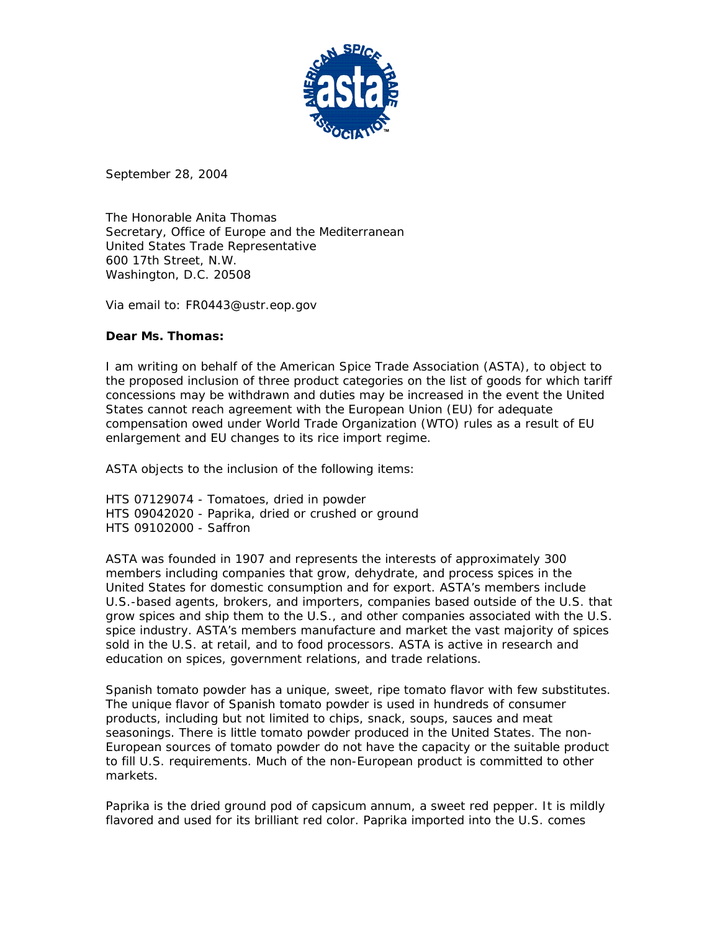

September 28, 2004

The Honorable Anita Thomas Secretary, Office of Europe and the Mediterranean United States Trade Representative 600 17th Street, N.W. Washington, D.C. 20508

Via email to: FR0443@ustr.eop.gov

## **Dear Ms. Thomas:**

I am writing on behalf of the American Spice Trade Association (ASTA), to object to the proposed inclusion of three product categories on the list of goods for which tariff concessions may be withdrawn and duties may be increased in the event the United States cannot reach agreement with the European Union (EU) for adequate compensation owed under World Trade Organization (WTO) rules as a result of EU enlargement and EU changes to its rice import regime.

ASTA objects to the inclusion of the following items:

HTS 07129074 - Tomatoes, dried in powder HTS 09042020 - Paprika, dried or crushed or ground HTS 09102000 - Saffron

ASTA was founded in 1907 and represents the interests of approximately 300 members including companies that grow, dehydrate, and process spices in the United States for domestic consumption and for export. ASTA's members include U.S.-based agents, brokers, and importers, companies based outside of the U.S. that grow spices and ship them to the U.S., and other companies associated with the U.S. spice industry. ASTA's members manufacture and market the vast majority of spices sold in the U.S. at retail, and to food processors. ASTA is active in research and education on spices, government relations, and trade relations.

Spanish tomato powder has a unique, sweet, ripe tomato flavor with few substitutes. The unique flavor of Spanish tomato powder is used in hundreds of consumer products, including but not limited to chips, snack, soups, sauces and meat seasonings. There is little tomato powder produced in the United States. The non-European sources of tomato powder do not have the capacity or the suitable product to fill U.S. requirements. Much of the non-European product is committed to other markets.

Paprika is the dried ground pod of capsicum annum, a sweet red pepper. It is mildly flavored and used for its brilliant red color. Paprika imported into the U.S. comes